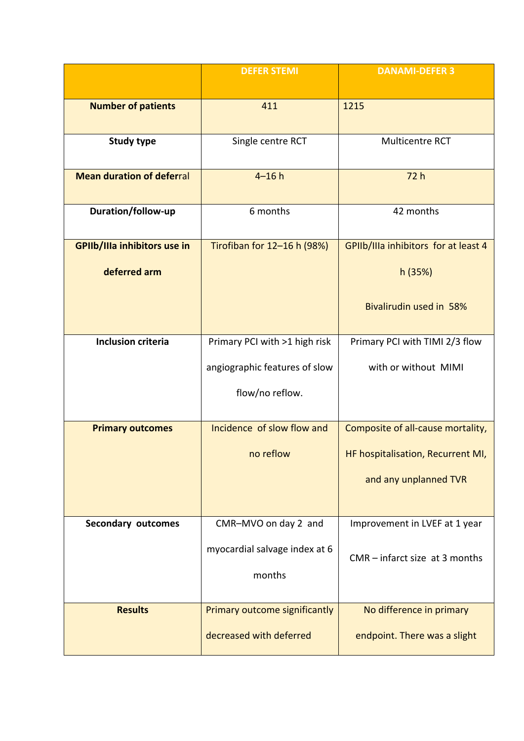|                                  | <b>DEFER STEMI</b>                      | <b>DANAMI-DEFER 3</b>                |
|----------------------------------|-----------------------------------------|--------------------------------------|
| <b>Number of patients</b>        | 411                                     | 1215                                 |
| <b>Study type</b>                | Single centre RCT                       | Multicentre RCT                      |
| <b>Mean duration of deferral</b> | $4 - 16h$                               | 72h                                  |
| Duration/follow-up               | 6 months                                | 42 months                            |
| GPIIb/IIIa inhibitors use in     | Tirofiban for 12-16 h (98%)             | GPIIb/IIIa inhibitors for at least 4 |
| deferred arm                     |                                         | h(35%)                               |
|                                  |                                         | Bivalirudin used in 58%              |
| <b>Inclusion criteria</b>        | Primary PCI with >1 high risk           | Primary PCI with TIMI 2/3 flow       |
|                                  | angiographic features of slow           | with or without MIMI                 |
|                                  | flow/no reflow.                         |                                      |
| <b>Primary outcomes</b>          | Incidence of slow flow and              | Composite of all-cause mortality,    |
|                                  | no reflow                               | HF hospitalisation, Recurrent MI,    |
|                                  |                                         | and any unplanned TVR                |
| <b>Secondary outcomes</b>        | CMR-MVO on day 2 and                    | Improvement in LVEF at 1 year        |
|                                  | myocardial salvage index at 6<br>months | $CMR$ – infarct size at 3 months     |
|                                  |                                         |                                      |
| <b>Results</b>                   | Primary outcome significantly           | No difference in primary             |
|                                  | decreased with deferred                 | endpoint. There was a slight         |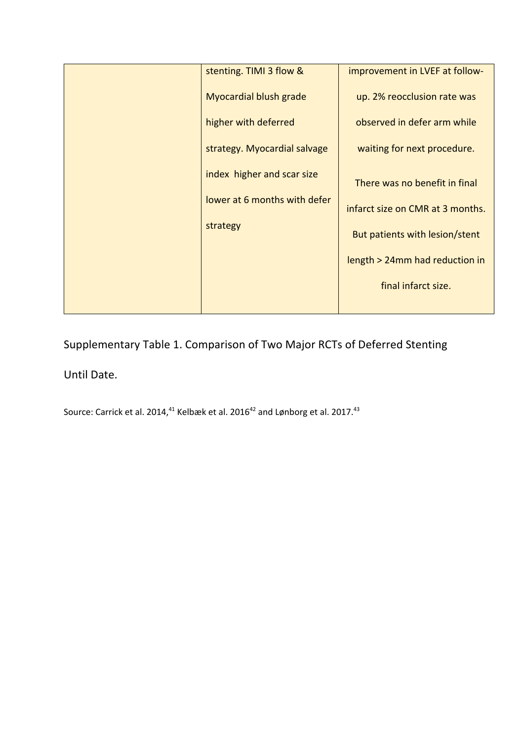| stenting. TIMI 3 flow &       | improvement in LVEF at follow-   |
|-------------------------------|----------------------------------|
| <b>Myocardial blush grade</b> | up. 2% reocclusion rate was      |
| higher with deferred          | observed in defer arm while      |
| strategy. Myocardial salvage  | waiting for next procedure.      |
| index higher and scar size    | There was no benefit in final    |
| lower at 6 months with defer  | infarct size on CMR at 3 months. |
| strategy                      | But patients with lesion/stent   |
|                               | length > 24mm had reduction in   |
|                               | final infarct size.              |
|                               |                                  |

Supplementary Table 1. Comparison of Two Major RCTs of Deferred Stenting

## Until Date.

Source: Carrick et al. 2014, $^{41}$  Kelbæk et al. 2016 $^{42}$  and Lønborg et al. 2017. $^{43}$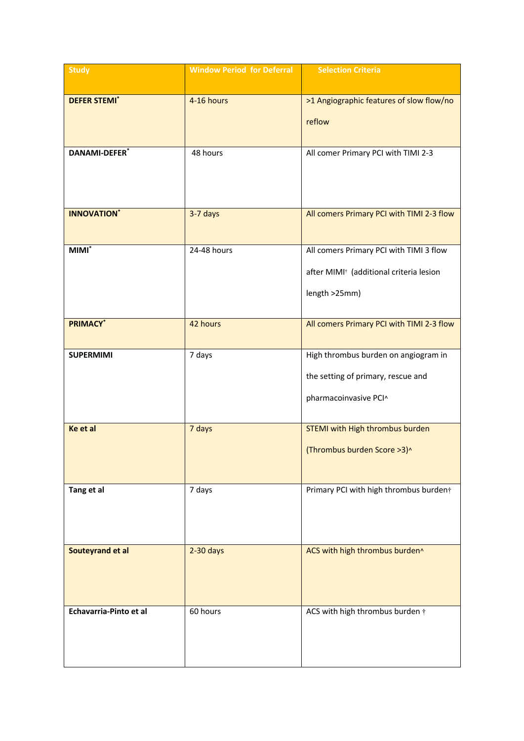| <b>Study</b>                    | <b>Window Period for Deferral</b> | <b>Selection Criteria</b>                                                                                       |
|---------------------------------|-----------------------------------|-----------------------------------------------------------------------------------------------------------------|
| <b>DEFER STEMI</b> <sup>*</sup> | 4-16 hours                        | >1 Angiographic features of slow flow/no<br>reflow                                                              |
| <b>DANAMI-DEFER*</b>            | 48 hours                          | All comer Primary PCI with TIMI 2-3                                                                             |
| <b>INNOVATION</b> *             | 3-7 days                          | All comers Primary PCI with TIMI 2-3 flow                                                                       |
| MIMI <sup>*</sup>               | 24-48 hours                       | All comers Primary PCI with TIMI 3 flow<br>after MIMI <sup>†</sup> (additional criteria lesion<br>length >25mm) |
| <b>PRIMACY*</b>                 | 42 hours                          | All comers Primary PCI with TIMI 2-3 flow                                                                       |
| <b>SUPERMIMI</b>                | 7 days                            | High thrombus burden on angiogram in<br>the setting of primary, rescue and<br>pharmacoinvasive PCI^             |
| Ke et al                        | 7 days                            | STEMI with High thrombus burden<br>(Thrombus burden Score > 3)^                                                 |
| Tang et al                      | 7 days                            | Primary PCI with high thrombus burdent                                                                          |
| Souteyrand et al                | $2-30$ days                       | ACS with high thrombus burden^                                                                                  |
| Echavarria-Pinto et al          | 60 hours                          | ACS with high thrombus burden $\dagger$                                                                         |